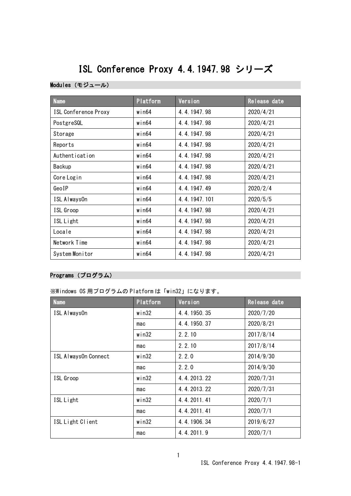# ISL Conference Proxy 4.4.1947.98 シリーズ

#### Modules(モジュール)

| <b>Name</b>                 | Platform    | Version      | Release date |
|-----------------------------|-------------|--------------|--------------|
| <b>ISL Conference Proxy</b> | $w$ in $64$ | 4.4.1947.98  | 2020/4/21    |
| PostgreSQL                  | win64       | 4.4.1947.98  | 2020/4/21    |
| Storage                     | $w$ in $64$ | 4.4.1947.98  | 2020/4/21    |
| Reports                     | $w$ in $64$ | 4.4.1947.98  | 2020/4/21    |
| Authentication              | win64       | 4.4.1947.98  | 2020/4/21    |
| Backup                      | $w$ in $64$ | 4.4.1947.98  | 2020/4/21    |
| Core Login                  | win64       | 4.4.1947.98  | 2020/4/21    |
| GeoIP                       | $w$ in $64$ | 4.4.1947.49  | 2020/2/4     |
| ISL Always0n                | $w$ in $64$ | 4.4.1947.101 | 2020/5/5     |
| ISL Groop                   | $w$ in $64$ | 4.4.1947.98  | 2020/4/21    |
| ISL Light                   | $w$ in $64$ | 4.4.1947.98  | 2020/4/21    |
| Locale                      | $w$ in $64$ | 4.4.1947.98  | 2020/4/21    |
| Network Time                | $w$ in $64$ | 4.4.1947.98  | 2020/4/21    |
| System Monitor              | $w$ in $64$ | 4.4.1947.98  | 2020/4/21    |

## Programs(プログラム)

※Windows OS 用プログラムの Platform は「win32」になります。

| <b>Name</b>          | Platform | Version     | Release date |
|----------------------|----------|-------------|--------------|
| ISL AlwaysOn         | win32    | 4.4.1950.35 | 2020/7/20    |
|                      | mac      | 4.4.1950.37 | 2020/8/21    |
|                      | win32    | 2, 2, 10    | 2017/8/14    |
|                      | mac      | 2.2.10      | 2017/8/14    |
| ISL AlwaysOn Connect | win32    | 2.2.0       | 2014/9/30    |
|                      | mac      | 2, 2, 0     | 2014/9/30    |
| ISL Groop            | win32    | 4.4.2013.22 | 2020/7/31    |
|                      | mac      | 4.4.2013.22 | 2020/7/31    |
| ISL Light            | win32    | 4.4.2011.41 | 2020/7/1     |
|                      | mac      | 4.4.2011.41 | 2020/7/1     |
| ISL Light Client     | win32    | 4.4.1906.34 | 2019/6/27    |
|                      | mac      | 4.4.2011.9  | 2020/7/1     |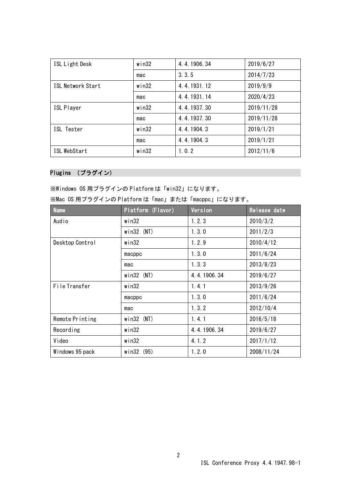| ISL Light Desk           | $w$ in32 | 4.4.1906.34 | 2019/6/27  |
|--------------------------|----------|-------------|------------|
|                          | mac      | 3.3.5       | 2014/7/23  |
| <b>ISL Network Start</b> | win32    | 4.4.1931.12 | 2019/9/9   |
|                          | mac      | 4.4.1931.14 | 2020/4/23  |
| <b>ISL Player</b>        | $w$ in32 | 4.4.1937.30 | 2019/11/28 |
|                          | mac      | 4.4.1937.30 | 2019/11/28 |
| ISL Tester               | win32    | 4.4.1904.3  | 2019/1/21  |
|                          | mac      | 4.4.1904.3  | 2019/1/21  |
| ISL WebStart             | $w$ in32 | 1, 0, 2     | 2012/11/6  |

# Plugins (プラグイン)

※Windows OS 用プラグインの Platform は「win32」になります。

| <b>Name</b>     | Platform (Flavor) | Version     | Release date |
|-----------------|-------------------|-------------|--------------|
| Audio           | win32             | 1.2.3       | 2010/3/2     |
|                 | $win32$ (NT)      | 1.3.0       | 2011/2/3     |
| Desktop Control | $w$ in $32$       | 1.2.9       | 2010/4/12    |
|                 | macppc            | 1.3.0       | 2011/6/24    |
|                 | mac               | 1.3.3       | 2013/8/23    |
|                 | $win32$ (NT)      | 4.4.1906.34 | 2019/6/27    |
| File Transfer   | $w$ in $32$       | 1.4.1       | 2013/9/26    |
|                 | macppc            | 1.3.0       | 2011/6/24    |
|                 | mac               | 1, 3, 2     | 2012/10/4    |
| Remote Printing | $win32$ (NT)      | 1.4.1       | 2016/5/18    |
| Recording       | $w$ in $32$       | 4.4.1906.34 | 2019/6/27    |
| Video           | $w$ in $32$       | 4.1.2       | 2017/1/12    |
| Windows 95 pack | win32 (95)        | 1.2.0       | 2008/11/24   |

|  |  | ※Mac OS 用プラグインの Platform は「mac」または「macppc」になります。 |  |  |  |
|--|--|--------------------------------------------------|--|--|--|
|--|--|--------------------------------------------------|--|--|--|